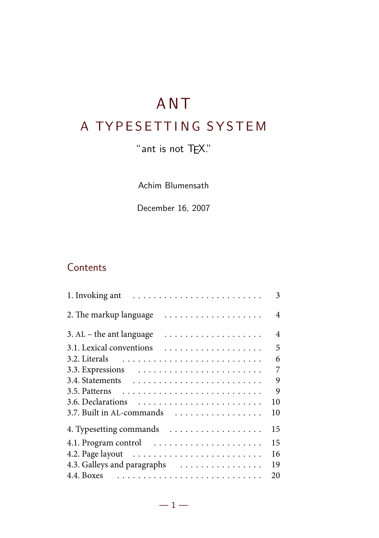# ANT

# A TYPESETTING SYSTEM

# "ant is not TEX."

Achim Blumensath

December 16, 2007

# **Contents**

| 1. Invoking ant                 | 3  |
|---------------------------------|----|
| .<br>2. The markup language     | 4  |
| .<br>3. $AL$ – the ant language | 4  |
| 3.1. Lexical conventions        | 5  |
|                                 | 6  |
|                                 | 7  |
|                                 | 9  |
|                                 | 9  |
|                                 | 10 |
| 3.7. Built in AL-commands       | 10 |
| 4. Typesetting commands         | 15 |
| 4.1. Program control            | 15 |
|                                 | 16 |
| 4.3. Galleys and paragraphs     | 19 |
|                                 | 20 |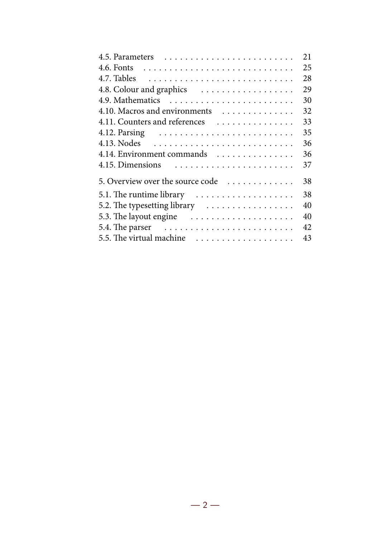|                                                                     | 21 |
|---------------------------------------------------------------------|----|
|                                                                     | 25 |
|                                                                     | 28 |
| 4.8. Colour and graphics                                            | 29 |
|                                                                     | 30 |
| 4.10. Macros and environments                                       | 32 |
| 4.11. Counters and references                                       | 33 |
|                                                                     | 35 |
|                                                                     | 36 |
| 4.14. Environment commands                                          | 36 |
| 4.15. Dimensions $\ldots \ldots \ldots \ldots \ldots \ldots \ldots$ | 37 |
| 5. Overview over the source code                                    | 38 |
| 5.1. The runtime library                                            | 38 |
| 5.2. The typesetting library                                        | 40 |
| 5.3. The layout engine                                              | 40 |
|                                                                     | 42 |
| 5.5. The virtual machine                                            | 43 |
|                                                                     |    |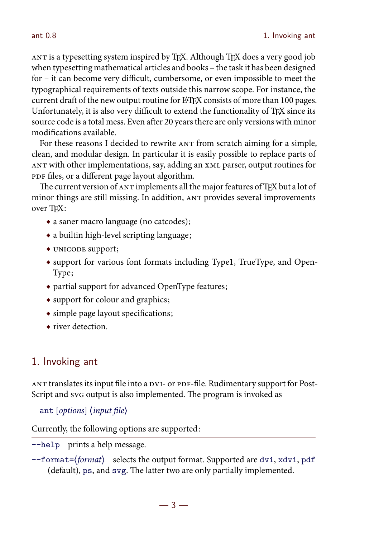ANT is a typesetting system inspired by TFX. Although TFX does a very good job when typesetting mathematical articles and books – the task it has been designed for – it can become very difficult, cumbersome, or even impossible to meet the typographical requirements of texts outside this narrow scope. For instance, the current draft of the new output routine for LATEX consists of more than 100 pages. Unfortunately, it is also very difficult to extend the functionality of TFX since its source code is a total mess. Even after 20 years there are only versions with minor modifications available.

For these reasons I decided to rewrite  $ANT$  from scratch aiming for a simple, clean, and modular design. In particular it is easily possible to replace parts of ANT with other implementations, say, adding an XML parser, output routines for PDF files, or a different page layout algorithm.

The current version of ANT implements all the major features of TEX but a lot of minor things are still missing. In addition, ANT provides several improvements over TEX:

- a saner macro language (no catcodes);
- a builtin high-level scripting language;
- UNICODE support;
- support for various font formats including Type1, TrueType, and Open-Type;
- partial support for advanced OpenType features;
- support for colour and graphics;
- simple page layout specifications;
- river detection.

# 1. Invoking ant

ANT translates its input file into a DVI- or PDF-file. Rudimentary support for Post-Script and svG output is also implemented. The program is invoked as

```
ant [options] (input file)
```
Currently, the following options are supported:

--help prints a help message.

 $--format={format}$  selects the output format. Supported are dvi, xdvi, pdf (default), ps, and svg. The latter two are only partially implemented.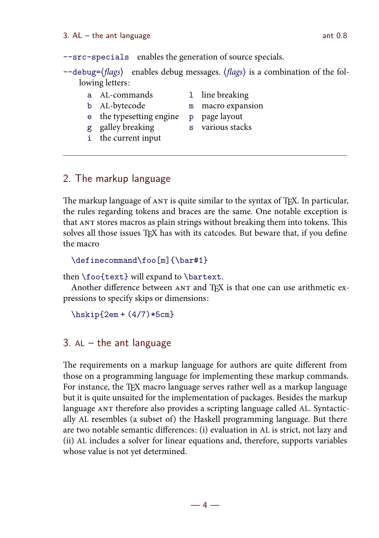--src-specials enables the generation of source specials.  $-\text{debug} = \langle \text{flags} \rangle$  enables debug messages.  $\langle \text{flags} \rangle$  is a combination of the following letters: a AL-commands 1 line breaking b AL-bytecode m macro expansion

- e the typesetting engine p page layout
	-
- 
- g galley breaking s various stacks
- i the current input

# 2. The markup language

The markup language of ANT is quite similar to the syntax of TFX. In particular, the rules regarding tokens and braces are the same. One notable exception is that ANT stores macros as plain strings without breaking them into tokens. This solves all those issues TFX has with its catcodes. But beware that, if you define the macro

```
\definecommand\foo[m]{\bar#1}
```
then \foo{text} will expand to \bartext.

Another difference between ANT and TFX is that one can use arithmetic expressions to specify skips or dimensions:

 $\hbar$ skip{2em +  $(4/7)*5cm$ }

# 3.  $AL - the$  ant language

The requirements on a markup language for authors are quite different from those on a programming language for implementing these markup commands. For instance, the TEX macro language serves rather well as a markup language but it is quite unsuited for the implementation of packages. Besides the markup language ANT therefore also provides a scripting language called AL. Syntactically AL resembles (a subset of) the Haskell programming language. But there are two notable semantic differences: (i) evaluation in AL is strict, not lazy and (ii) AL includes a solver for linear equations and, therefore, supports variables whose value is not yet determined.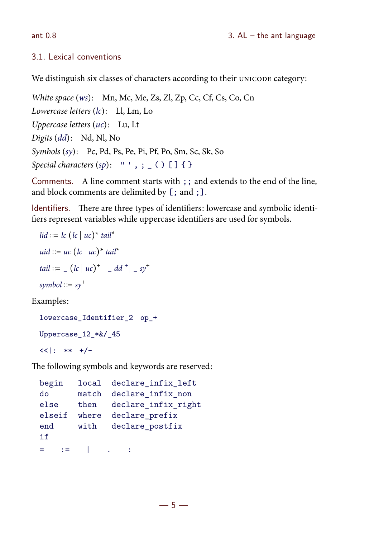# 3.1. Lexical conventions

We distinguish six classes of characters according to their UNICODE category:

White space (ws): Mn, Mc, Me, Zs, Zl, Zp, Cc, Cf, Cs, Co, Cn Lowercase letters (lc): Ll, Lm, Lo Uppercase letters (uc): Lu, Lt Digits (dd): Nd, Nl, No Symbols (sy): Pc, Pd, Ps, Pe, Pi, Pf, Po, Sm, Sc, Sk, So Special characters  $(sp): " ', ; _ ( ) [ ] { } \{ }$ 

Comments. A line comment starts with ;; and extends to the end of the line, and block comments are delimited by [; and ;].

Identifiers. There are three types of identifiers: lowercase and symbolic identifiers represent variables while uppercase identifiers are used for symbols.

```
\textit{lid} \coloneqq \textit{lc} \left( \textit{lc} \mid \textit{uc} \right)^* \textit{tail}^*uid ::= uc (lc | uc)^* tail^*tail  ::= (lc \mid uc)^+ \mid d d^+ \mid s y^+symbol \mathrel{\mathop:}= sy<sup>+</sup>
```
Examples:

lowercase Identifier 2 op + Uppercase\_12\_\*&/\_45  $<<$ |: \*\* +/-

The following symbols and keywords are reserved:

```
begin local declare_infix_left
do match declare infix non
else then declare infix right
elseif where declare prefix
end with declare postfix
if
= : : = \Box \Box : \Box :
```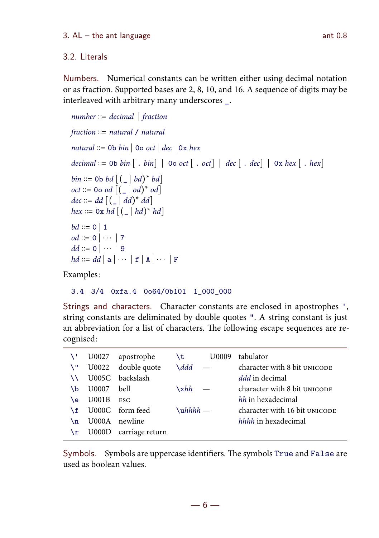## 3.2. Literals

Numbers. Numerical constants can be written either using decimal notation or as fraction. Supported bases are 2, 8, 10, and 16. A sequence of digits may be interleaved with arbitrary many underscores \_.

```
number ::= decimal fraction
   fraction ::= natural / naturalnatural  ::= 0b bin | 0o oct | dec | 0x hex
   decimal  ::= 0b bin [ . bin ] | 0o oct [ . oct ] | dec [ . dec ] | 0x hex [ . hex ]bin ::= 0 \text{b} bd \big[ \big( \_ \mid bd \big)^* bd \big]oct ::= 0 \text{ o } od \left[ \left( \begin{array}{c} | \\ - | & od \end{array} \right)^{\ast} od \right]dec ::= dd \left[ \begin{pmatrix} 0 & d \end{pmatrix}^* dd \right]hex ::= 0x hd [(-|hd)^* hd]bd ::= 0 \ 1od ::= 0 \mid \cdots \mid 7dd \coloneqq 0 \mid \cdots \mid 9hd ::= dd \mid a \mid \cdots \mid f \mid A \mid \cdots \mid FExamples:
```
3.4 3/4 0xfa.4 0o64/0b101 1\_000\_000

Strings and characters. Character constants are enclosed in apostrophes ', string constants are deliminated by double quotes ". A string constant is just an abbreviation for a list of characters. The following escape sequences are recognised:

|    | U0027    | apostrophe            | U0009<br>$\mathbf{t}$ | tabulator                     |
|----|----------|-----------------------|-----------------------|-------------------------------|
| 7. |          | U0022 double quote    | $\lambda$ ddd —       | character with 8 bit UNICODE  |
|    |          | U005C backslash       |                       | <i>ddd</i> in decimal         |
| ١b | U0007    | bell                  | $\chi$ hh             | character with 8 bit UNICODE  |
| ١e | $U$ 001B | <b>ESC</b>            |                       | hh in hexadecimal             |
| ١f |          | U000C form feed       | $\lambda$ uhhhh —     | character with 16 bit UNICODE |
| ١n |          | U000A newline         |                       | hhhh in hexadecimal           |
| \r |          | U000D carriage return |                       |                               |

Symbols. Symbols are uppercase identifiers. The symbols True and False are used as boolean values.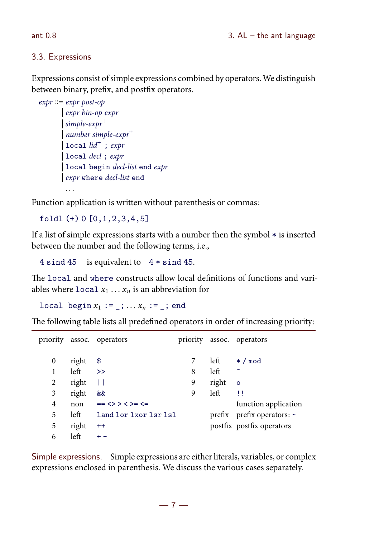### 3.3. Expressions

Expressions consist of simple expressions combined by operators. We distinguish between binary, prefix, and postfix operators.

```
expr ::= expr post-op expr bin-op expr
        simple-expr<sup>+</sup> number simple-expr

        \vert local \mathrm{lid}^+; expr
        local decl; expr
        local begin decl-list end expr
         expr where decl-list end
```
Function application is written without parenthesis or commas:

```
foldl (+) 0 [0,1,2,3,4,5]
```
If a list of simple expressions starts with a number then the symbol \* is inserted between the number and the following terms, i.e.,

4 sind 45 is equivalent to 4 \* sind 45.

The local and where constructs allow local definitions of functions and variables where  $\text{local } x_1 \ldots x_n$  is an abbreviation for

local begin  $x_1 := \ldots : x_n := \ldots$ ; end

The following table lists all predefined operators in order of increasing priority:

| priority |       | assoc. operators          | priority |       | assoc. operators           |
|----------|-------|---------------------------|----------|-------|----------------------------|
| 0        | right | \$                        |          | left  | $*/$ mod                   |
| 1        | left  | $\rightarrow$             | 8        | left  | $\overline{\phantom{0}}$   |
| 2        | right | Н                         | 9        | right | $\circ$                    |
| 3        | right | &&                        | 9        | left  | Ħ                          |
| 4        | non   | $==$ <> < < > < > < < < < |          |       | function application       |
| 5        | left  | land lor 1xor 1sr 1sl     |          |       | prefix prefix operators: ~ |
| 5        | right | $^{++}$                   |          |       | postfix postfix operators  |
| 6        | left  | $+ -$                     |          |       |                            |

Simple expressions. Simple expressions are either literals, variables, or complex expressions enclosed in parenthesis. We discuss the various cases separately.

 $-7-$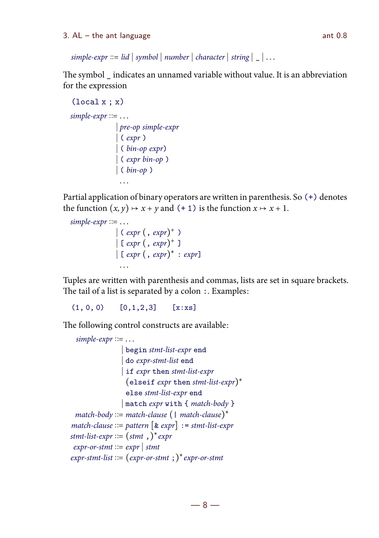$simple-expr ::= lid | symbol | number | character | string | _ ...$ 

The symbol \_ indicates an unnamed variable without value. It is an abbreviation for the expression

```
(local x : x)simple-expr := \ldots pre-op simple-expr
                ( expr )
                ( bin-op expr)
                ( expr bin-op )
                ( bin-op )
                . . .
```
Partial application of binary operators are written in parenthesis. So (+) denotes the function  $(x, y) \mapsto x + y$  and  $(+ 1)$  is the function  $x \mapsto x + 1$ .

```
simple-expr ::= \ldots\vert ( expr \vert, expr)<sup>+</sup> )
                        \lceil \text{[expr]}, \text{expr} \rceil \rceil\vert [ expr ( , expr)^* : expr]
                          . . .
```
Tuples are written with parenthesis and commas, lists are set in square brackets. The tail of a list is separated by a colon  $\therefore$  Examples:

 $(1, 0, 0)$   $[0, 1, 2, 3]$   $[x:xs]$ 

The following control constructs are available:

```
simple-expr := \ldots begin stmt-list-expr end
                     do expr-stmt-list end
                     if expr then stmt-list-expr
                      \text{(else if } \text{expr} \text{ then } \text{stmt-list-expr})^*else stmt-list-expr end
                     match expr with { match-body }
  match\text{-}body \text{ ::= }match\text{-}clause \text{ } \big( \text{ } \mid \text{ }match\text{-}clause \big)^\starmatch-clause ::= pattern \lceil \text{& expr} \rceil := stmt-list-expr
stmt-list-expr ::= (stmt , ) * exprexpr-or-stmt ::= expr | stmtexpr-stmt-list ::= (expr-or-stmt ; ) * expr-or-stmt
```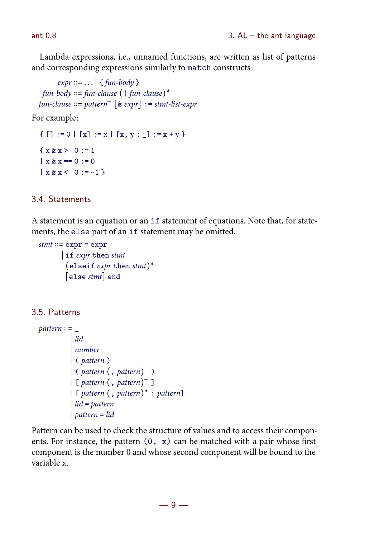Lambda expressions, i.e., unnamed functions, are written as list of patterns and corresponding expressions similarly to match constructs:

 $expr ::= ... |$  { fun-body } fun-body ::= fun-clause  $( |$  fun-clause $)$ \*  $fun\text{-}clause ::= pattern^+ \text{ } [ \& \text{ } expr ] := \text{ }stm\text{-}list\text{-}expr$ 

For example:

 ${ [ ] := 0 | [x] := x | [x, y : ] := x + y }$  $\{ x \& x > 0 := 1 \}$  $| x \& x == 0 : = 0$  $\vert x \& x \leq 0 \vert z = -1 \}$ 

#### 3.4. Statements

A statement is an equation or an if statement of equations. Note that, for statements, the else part of an if statement may be omitted.

```
stmt ::= expr = expr if expr then stmt
         (elseif expr then stmt)*
        \lceilelse stmt\rceil end
```
3.5. Patterns

```
pattern ::= lid
              number
              ( pattern )
             \int (pattern (, pattern)^{+})
             \int[ pattern \left(, pattern)<sup>+</sup> ]
             \left[ [ pattern \left( , pattern)<sup>*</sup> : pattern]
              lid = pattern
              pattern = lid
```
Pattern can be used to check the structure of values and to access their components. For instance, the pattern (0, x) can be matched with a pair whose first component is the number 0 and whose second component will be bound to the variable x.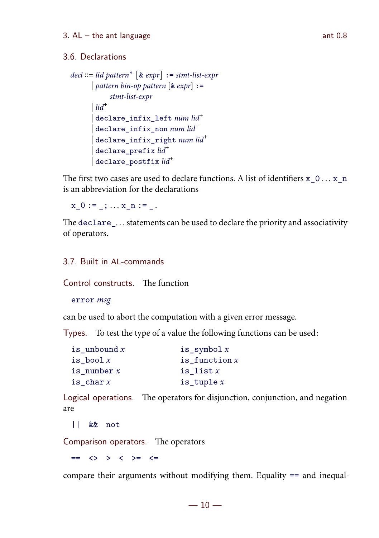## 3.6. Declarations

```
\text{del} ::= \text{lid pattern}^* \; [\& \; \text{expr}] := \text{stmt-list-expr}pattern bin-op pattern \left[\& \exp r\right] :=stmt-list-expr
                lid<sup>+</sup>\label{eq:3} \begin{array}{|l|} \texttt{declane\_infix\_left} \texttt{num} \texttt{lid}^+ \end{array}\label{eq:3} \begin{array}{|l} \texttt{declane\_infix\_non} \textit{ num lid}^+ \end{array}\label{eq:3} \begin{array}{l} \hspace{-0.5cm} \texttt{declarge\_infix\_right} \textit{ num lid}^+ \end{array}\label{eq:3} \begin{array}{l} \texttt{declane\_prefix} \; \mathit{lid}^+ \end{array}\begin{array}{c} \mathsf{dec} \mathsf{l} \, \mathsf{are\_postfix} \, \mathit{lid}^+ \end{array}
```
The first two cases are used to declare functions. A list of identifiers  $x_0 \ldots x_n$ is an abbreviation for the declarations

 $x \ 0 := \; ; \ldots x \ n :=$ 

The declare\_... statements can be used to declare the priority and associativity of operators.

# 3.7. Built in AL-commands

Control constructs. The function

error msg

can be used to abort the computation with a given error message.

Types. To test the type of a value the following functions can be used:

| is unbound $x$ | is symbol $x$   |
|----------------|-----------------|
| is bool $x$    | is function $x$ |
| is number $x$  | is list $x$     |
| is char $x$    | is tuple $x$    |

Logical operations. The operators for disjunction, conjunction, and negation are

|| && not

Comparison operators. The operators

 $==$   $\leftrightarrow$   $\rightarrow$   $\leftrightarrow$   $\rightarrow$   $\leftarrow$ 

compare their arguments without modifying them. Equality == and inequal-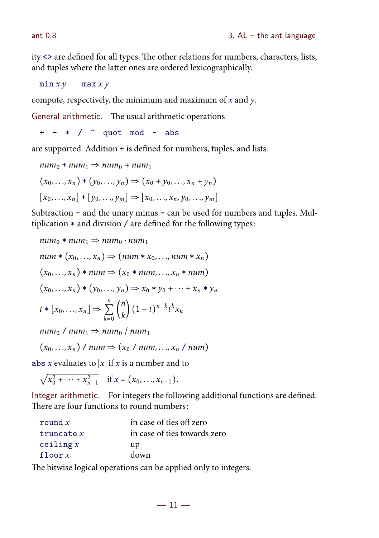$ity \leq$  are defined for all types. The other relations for numbers, characters, lists, and tuples where the latter ones are ordered lexicographically.

 $min x y$  max  $x y$ 

compute, respectively, the minimum and maximum of  $x$  and  $y$ .

General arithmetic. The usual arithmetic operations

 $+ - * /$  quot mod  $\sim$  abs

are supported. Addition + is defined for numbers, tuples, and lists:

$$
num_0 + num_1 \Rightarrow num_0 + num_1
$$
  
(x<sub>0</sub>,..., x<sub>n</sub>) + (y<sub>0</sub>,..., y<sub>n</sub>)  $\Rightarrow$  (x<sub>0</sub> + y<sub>0</sub>,..., x<sub>n</sub> + y<sub>n</sub>)  
[x<sub>0</sub>,..., x<sub>n</sub>] + [y<sub>0</sub>,..., y<sub>m</sub>]  $\Rightarrow$  [x<sub>0</sub>,..., x<sub>n</sub>, y<sub>0</sub>,..., y<sub>m</sub>]

Subtraction – and the unary minus  $\sim$  can be used for numbers and tuples. Multiplication \* and division / are defined for the following types:

$$
num_0 * num_1 \Rightarrow num_0 \cdot num_1
$$
  
\n
$$
num * (x_0, ..., x_n) \Rightarrow (num * x_0, ..., num * x_n)
$$
  
\n
$$
(x_0, ..., x_n) * num \Rightarrow (x_0 * num, ..., x_n * num)
$$
  
\n
$$
(x_0, ..., x_n) * (y_0, ..., y_n) \Rightarrow x_0 * y_0 + ... + x_n * y_n
$$
  
\n
$$
t * [x_0, ..., x_n] \Rightarrow \sum_{k=0}^n {n \choose k} (1-t)^{n-k} t^k x_k
$$

 $num_0 / num_1 \Rightarrow num_0 / num_1$ 

 $(x_0, \ldots, x_n)$  / num  $\Rightarrow$   $(x_0, \ldots, x_n)$  num)

abs x evaluates to  $|x|$  if x is a number and to

 $\sqrt{x_0^2 + \cdots + x_{n-1}^2}$  if  $x = (x_0, \ldots, x_{n-1}).$ 

Integer arithmetic. For integers the following additional functions are defined. There are four functions to round numbers:

| round $x$    | in case of ties off zero     |
|--------------|------------------------------|
| truncate $x$ | in case of ties towards zero |
| ceiling x    | up                           |
| floor $x$    | down                         |

The bitwise logical operations can be applied only to integers.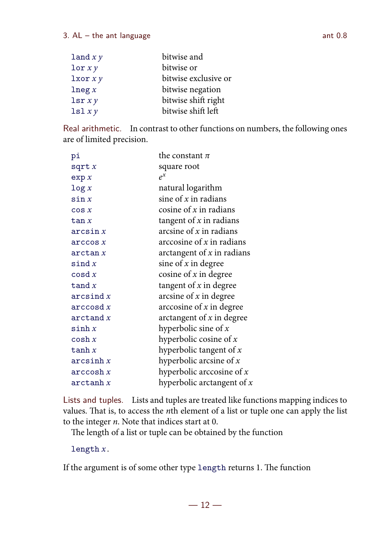#### $3.$  AL – the ant language ant 0.8

| $\text{land } x y$     | bitwise and          |
|------------------------|----------------------|
| $\texttt{lor} \, xy$   | bitwise or           |
| l x or x y             | bitwise exclusive or |
| $\ln e$ g x            | bitwise negation     |
| $\text{lsr}$ <i>xy</i> | bitwise shift right  |
| lsl xy                 | bitwise shift left   |

Real arithmetic. In contrast to other functions on numbers, the following ones are of limited precision.

| рi              | the constant $\pi$           |
|-----------------|------------------------------|
| sqrt x          | square root                  |
| exp x           | $e^{x}$                      |
| $\log x$        | natural logarithm            |
| $\sin x$        | sine of $x$ in radians       |
| $\cos x$        | cosine of $x$ in radians     |
| tan x           | tangent of $x$ in radians    |
| arcsin x        | arcsine of $x$ in radians    |
| arccos x        | arccosine of $x$ in radians  |
| arctan x        | arctangent of $x$ in radians |
| $\sin dx$       | sine of $x$ in degree        |
| $\cos dx$       | cosine of $x$ in degree      |
| tand $x$        | tangent of $x$ in degree     |
| arcsind x       | arcsine of $x$ in degree     |
| $\arccos d$ $x$ | arccosine of $x$ in degree   |
| arctand x       | arctangent of $x$ in degree  |
| sinh x          | hyperbolic sine of $x$       |
| $\cosh x$       | hyperbolic cosine of $x$     |
| tanh $x$        | hyperbolic tangent of $x$    |
| arcsinh x       | hyperbolic arcsine of $x$    |
| arccosh x       | hyperbolic arccosine of $x$  |
| arctanh x       | hyperbolic arctangent of $x$ |

Lists and tuples. Lists and tuples are treated like functions mapping indices to values. That is, to access the  $n$ th element of a list or tuple one can apply the list to the integer  $n$ . Note that indices start at 0.

The length of a list or tuple can be obtained by the function

length  $x$ .

If the argument is of some other type length returns 1. The function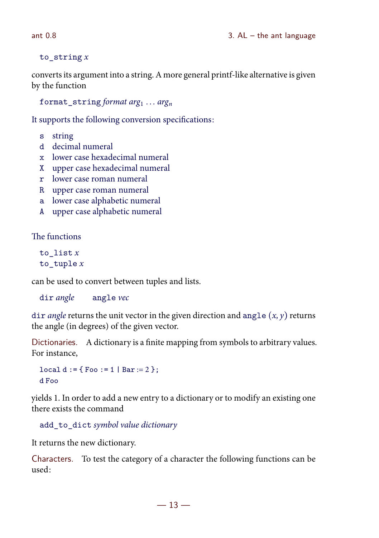#### to string  $x$

converts its argument into a string. A more general printf-like alternative is given by the function

format string format  $arg_1 ... arg_n$ 

It supports the following conversion specifications:

- s string
- d decimal numeral
- x lower case hexadecimal numeral
- X upper case hexadecimal numeral
- r lower case roman numeral
- R upper case roman numeral
- a lower case alphabetic numeral
- A upper case alphabetic numeral

The functions

```
to_list x
to_tuple x
```
can be used to convert between tuples and lists.

dir angle angle vec

dir *angle* returns the unit vector in the given direction and angle  $(x, y)$  returns the angle (in degrees) of the given vector.

Dictionaries. A dictionary is a finite mapping from symbols to arbitrary values. For instance,

```
local d := {\text{Foo} := 1 | Bar := 2 };
d Foo
```
yields 1. In order to add a new entry to a dictionary or to modify an existing one there exists the command

add\_to\_dict symbol value dictionary

It returns the new dictionary.

Characters. To test the category of a character the following functions can be used:

 $-13-$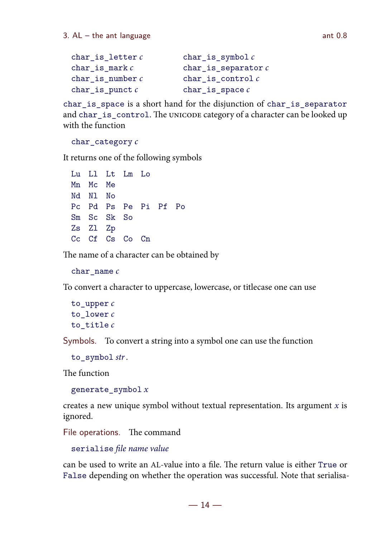```
char is letter c char is symbol cchar is mark c char is separator cchar is number c char is control cchar_is\_punct c char_is_space c
```
char\_is\_space is a short hand for the disjunction of char\_is\_separator and char\_is\_control. The UNICODE category of a character can be looked up with the function

char $\cot$ category  $c$ 

It returns one of the following symbols

Lu Ll Lt Lm Lo Mn Mc Me Nd N<sub>1</sub> N<sub>0</sub> Pc Pd Ps Pe Pi Pf Po Sm Sc Sk So Zs Zl Zp Cc Cf Cs Co Cn

The name of a character can be obtained by

char name  $c$ 

To convert a character to uppercase, lowercase, or titlecase one can use

```
to upper cto lower cto title c
```
Symbols. To convert a string into a symbol one can use the function

```
to_symbol str.
```
The function

generate symbol  $x$ 

creates a new unique symbol without textual representation. Its argument  $x$  is ignored.

File operations. The command

serialise file name value

can be used to write an AL-value into a file. The return value is either True or False depending on whether the operation was successful. Note that serialisa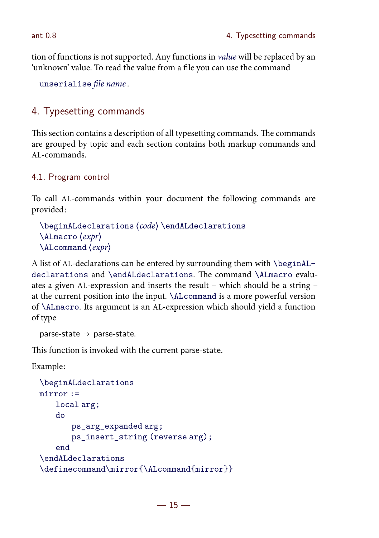tion of functions is not supported. Any functions in *value* will be replaced by an 'unknown' value. To read the value from a file you can use the command

unserialise file name .

# 4. Typesetting commands

This section contains a description of all typesetting commands. The commands are grouped by topic and each section contains both markup commands and AL-commands.

# 4.1. Program control

To call AL-commands within your document the following commands are provided:

```
\begin{array}{c}\n\begin{array}{c}\n\end{array}\LambdaLmacro \langle expr \rangle\LambdaLcommand \langle expr \rangle
```
A list of AL-declarations can be entered by surrounding them with \beginALdeclarations and \endALdeclarations. The command \ALmacro evaluates a given AL-expression and inserts the result – which should be a string – at the current position into the input. \ALcommand is a more powerful version of \ALmacro. Its argument is an AL-expression which should yield a function of type

```
parse-state \rightarrow parse-state.
```
This function is invoked with the current parse-state.

Example:

```
\beginALdeclarations
mirror :=
   local arg;
   do
       ps_arg_expanded arg;
       ps_insert_string (reverse arg);
   end
\endALdeclarations
\definecommand\mirror{\ALcommand{mirror}}
```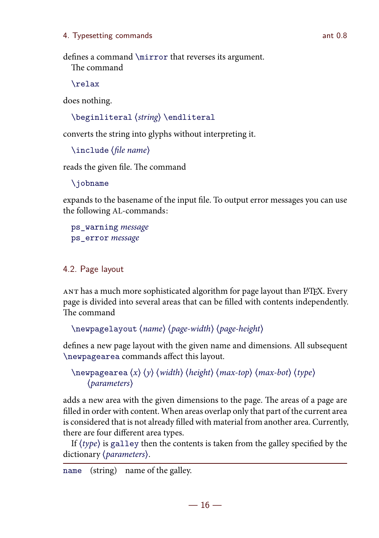#### 4. Typesetting commands ant 0.8

defines a command \mirror that reverses its argument. The command

\relax

does nothing.

 $\begin{cases} \text{string} \end{cases}$ 

converts the string into glyphs without interpreting it.

```
\langleinclude \langlefile name\rangle
```
reads the given file. The command

\jobname

expands to the basename of the input file. To output error messages you can use the following AL-commands:

ps\_warning message ps\_error message

## 4.2. Page layout

ANT has a much more sophisticated algorithm for page layout than LATEX. Every page is divided into several areas that can be filled with contents independently. The command

```
\neq \newpagelayout \langle name \rangle \langle page-width \rangle \langle page-height \rangle
```
defines a new page layout with the given name and dimensions. All subsequent \newpagearea commands affect this layout.

```
\neq \neq \vee \vee \vee \vee \vee \vee \vee \vee \vee \vee \vee \vee \vee \vee \vee \vee \vee \vee \vee \vee \vee \vee \vee \vee \vee \vee \vee \vee \vee \vee \vee \vee \vee \vee \veeparameters
```
adds a new area with the given dimensions to the page. The areas of a page are filled in order with content. When areas overlap only that part of the current area is considered that is not already filled with material from another area. Currently, there are four different area types.

If  $\langle type \rangle$  is galley then the contents is taken from the galley specified by the dictionary (*parameters*).

name (string) name of the galley.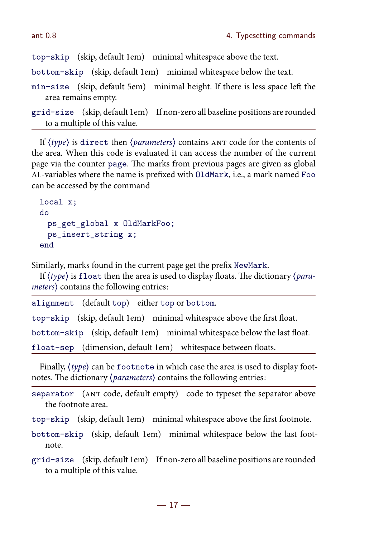top-skip (skip, default 1em) minimal whitespace above the text.

bottom-skip (skip, default 1em) minimal whitespace below the text.

min-size (skip, default 5em) minimal height. If there is less space left the area remains empty.

```
grid-size (skip, default 1em) If non-zero all baseline positions are rounded
   to a multiple of this value.
```
If  $\langle type \rangle$  is direct then  $\langle parameters \rangle$  contains  $ANT \ code$  for the contents of the area. When this code is evaluated it can access the number of the current page via the counter page. The marks from previous pages are given as global AL-variables where the name is prefixed with OldMark, i.e., a mark named Foo can be accessed by the command

```
local x;
do
 ps_get_global x OldMarkFoo;
 ps_insert_string x;
end
```
Similarly, marks found in the current page get the prefix NewMark.

If  $\langle type \rangle$  is float then the area is used to display floats. The dictionary  $\langle para$  $meters$ ) contains the following entries:

| alignment (default top) either top or bottom. |                                                                          |
|-----------------------------------------------|--------------------------------------------------------------------------|
|                                               | top-skip (skip, default 1em) minimal whitespace above the first float.   |
|                                               | bottom-skip (skip, default 1em) minimal whitespace below the last float. |
|                                               | float-sep (dimension, default 1em) whitespace between floats.            |

Finally,  $\langle type \rangle$  can be footnote in which case the area is used to display footnotes. The dictionary  $\langle parameters \rangle$  contains the following entries:

separator (ANT code, default empty) code to typeset the separator above the footnote area.

top-skip (skip, default 1em) minimal whitespace above the first footnote.

bottom-skip (skip, default 1em) minimal whitespace below the last footnote.

grid-size (skip, default 1em) If non-zero all baseline positions are rounded to a multiple of this value.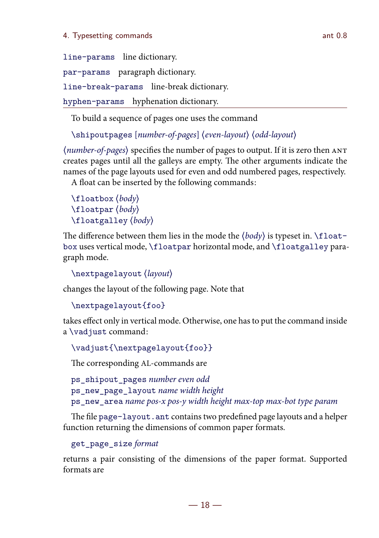line-params line dictionary. par-params paragraph dictionary. line-break-params line-break dictionary. hyphen-params hyphenation dictionary.

To build a sequence of pages one uses the command

\shipoutpages [number-of-pages] (even-layout) (odd-layout)

 $\langle number-of-pages \rangle$  specifies the number of pages to output. If it is zero then  $ANT$ creates pages until all the galleys are empty. The other arguments indicate the names of the page layouts used for even and odd numbered pages, respectively. A float can be inserted by the following commands:

```
\theta \phi\left( \frac{1}{\text{1}} \right)\theta \theta
```
The difference between them lies in the mode the  $\langle body \rangle$  is typeset in. \floatbox uses vertical mode, \floatpar horizontal mode, and \floatgalley paragraph mode.

```
\nextpagelayout (layout)
```
changes the layout of the following page. Note that

```
\nextpagelayout{foo}
```
takes effect only in vertical mode. Otherwise, one hasto put the command inside a \vadjust command:

\vadjust{\nextpagelayout{foo}}

The corresponding AL-commands are

```
ps_shipout_pages number even odd
ps_new_page_layout name width height
ps_new_area name pos-x pos-y width height max-top max-bot type param
```
The file page-layout. ant contains two predefined page layouts and a helper function returning the dimensions of common paper formats.

get\_page\_size format

returns a pair consisting of the dimensions of the paper format. Supported formats are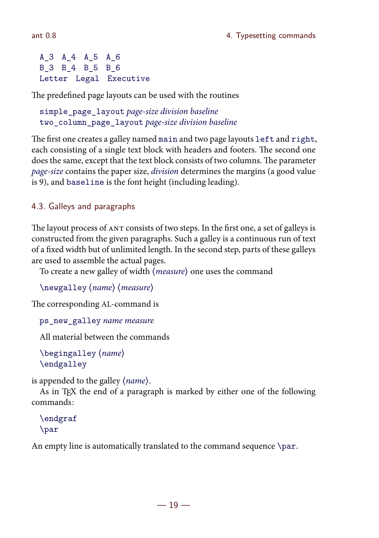```
A_3 A_4 A_5 A_6
B_3 B_4 B_5 B_6
Letter Legal Executive
```
The predefined page layouts can be used with the routines

```
simple_page_layout page-size division baseline
two_column_page_layout page-size division baseline
```
The first one creates a galley named main and two page layouts left and right, each consisting of a single text block with headers and footers. The second one does the same, except that the text block consists of two columns. The parameter page-size contains the paper size, *division* determines the margins (a good value is 9), and baseline is the font height (including leading).

# 4.3. Galleys and paragraphs

The layout process of ANT consists of two steps. In the first one, a set of galleys is constructed from the given paragraphs. Such a galley is a continuous run of text of a fixed width but of unlimited length. In the second step, parts of these galleys are used to assemble the actual pages.

To create a new galley of width  $\langle measure \rangle$  one uses the command

```
\langlenewgalley \langlename\rangle \langlemeasure\rangle
```
The corresponding AL-command is

ps\_new\_galley name measure

All material between the commands

```
\begin{pmatrix} \begingalley \langle name \rangle\endgalley
```
is appended to the galley (name).

As in T<sub>EX</sub> the end of a paragraph is marked by either one of the following commands:

```
\endgraf
\par
```
An empty line is automatically translated to the command sequence \par.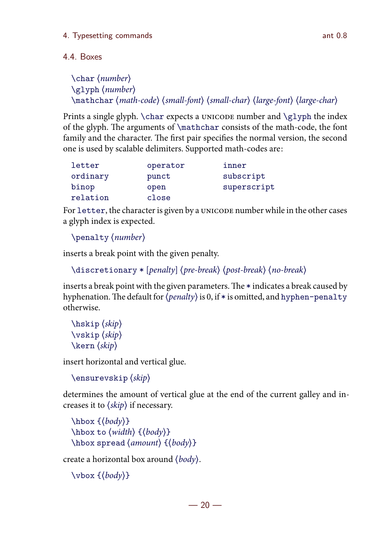# 4.4. Boxes

```
\char' (number)
\qquad\mathchar (math-code) (small-font) (small-char) (large-font) (large-char)
```
Prints a single glyph.  $\char`>char$  expects a UNICODE number and  $\gtrsim$  lyph the index of the glyph. The arguments of \mathchar consists of the math-code, the font family and the character. The first pair specifies the normal version, the second one is used by scalable delimiters. Supported math-codes are:

| letter   | operator | inner       |
|----------|----------|-------------|
| ordinary | punct    | subscript   |
| binop    | open     | superscript |
| relation | close    |             |

For letter, the character is given by a UNICODE number while in the other cases a glyph index is expected.

```
\begin{cases} \text{number} \end{cases}
```
inserts a break point with the given penalty.

```
\dist{c} /discretionary * [penalty] (pre-break) (post-break) (no-break)
```
inserts a break point with the given parameters. The  $*$  indicates a break caused by hyphenation. The default for  $\langle penalty \rangle$  is 0, if  $*$  is omitted, and hyphen-penalty otherwise.

```
\hbox{hskip}\varepsilon \vskip \langle skip \rangle\ker n \langle skip \rangle
```
insert horizontal and vertical glue.

```
\text{ensurevskip}(skip)
```
determines the amount of vertical glue at the end of the current galley and increases it to  $\langle skip \rangle$  if necessary.

```
\hbox{\hbox{hbox~$${\rm +}$\n\hbox{\hbox{hbox} to (width) } {\boldsymbol{\delta}}\hbox spread \langle amount\rangle {\langle body\rangle}
```
create a horizontal box around  $\langle body \rangle$ .

```
\forall x \{ (body) \}
```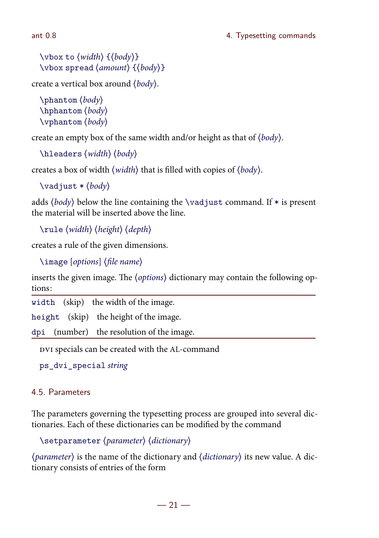$\forall$  vbox to  $\{width\}$  { $\{body\}$ }  $\forall$ vbox spread  $\langle$ amount $\rangle$  { $\langle$ body}}

create a vertical box around  $\langle body \rangle$ .

```
\theta\hbox{\hbox{hphantom}}(body)\forallyphantom \langle body \rangle
```
create an empty box of the same width and/or height as that of  $\langle body \rangle$ .

```
\hbareaders (width) (body)
```
creates a box of width  $\langle width \rangle$  that is filled with copies of  $\langle body \rangle$ .

```
\v{vadjust * (body)}
```
adds  $\langle body \rangle$  below the line containing the \vadjust command. If  $*$  is present the material will be inserted above the line.

 $\mu \$  (width) (height) (depth)

creates a rule of the given dimensions.

 $\langle$ image  $[options]$  (file name)

inserts the given image. The (options) dictionary may contain the following options:

width (skip) the width of the image.

height (skip) the height of the image.

dpi (number) the resolution of the image.

DVI specials can be created with the AL-command

ps\_dvi\_special string

## 4.5. Parameters

The parameters governing the typesetting process are grouped into several dictionaries. Each of these dictionaries can be modified by the command

 $\setminus$ setparameter  $\langle parameter \rangle$   $\langle dictionary \rangle$ 

 $\langle parameter \rangle$  is the name of the dictionary and  $\langle dictionary \rangle$  its new value. A dictionary consists of entries of the form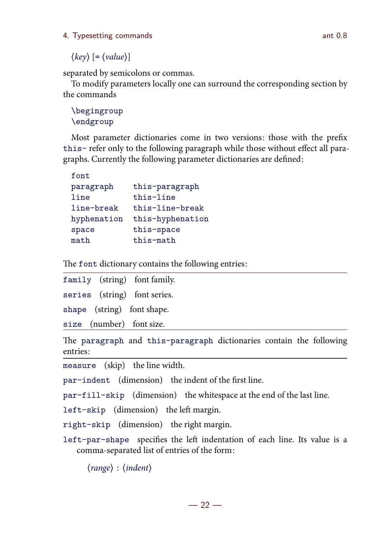4. Typesetting commands ant 0.8

 $\langle key \rangle$  [=  $\langle value \rangle$ ]

separated by semicolons or commas.

To modify parameters locally one can surround the corresponding section by the commands

\begingroup \endgroup

Most parameter dictionaries come in two versions: those with the prefix this- refer only to the following paragraph while those without effect all paragraphs. Currently the following parameter dictionaries are defined:

| font.       |                  |
|-------------|------------------|
| paragraph   | this-paragraph   |
| line        | this-line        |
| line-break  | this-line-break  |
| hyphenation | this-hyphenation |
| space       | this-space       |
| math        | this-math        |
|             |                  |

The font dictionary contains the following entries:

|                          | family (string) font family. |
|--------------------------|------------------------------|
|                          | series (string) font series. |
|                          | shape (string) font shape.   |
| size (number) font size. |                              |

The paragraph and this-paragraph dictionaries contain the following entries:

measure (skip) the line width.

par-indent (dimension) the indent of the first line.

par-fill-skip (dimension) the whitespace at the end of the last line.

 $left-skip$  (dimension) the left margin.

right-skip (dimension) the right margin.

left-par-shape specifies the left indentation of each line. Its value is a comma-separated list of entries of the form:

 $\langle range \rangle : \langle indent \rangle$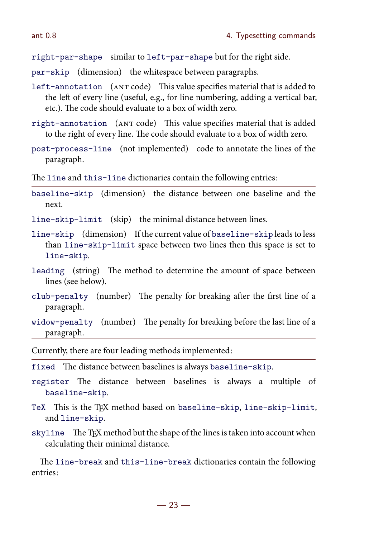right-par-shape similar to left-par-shape but for the right side.

par-skip (dimension) the whitespace between paragraphs.

- left-annotation (ANT code) This value specifies material that is added to the left of every line (useful, e.g., for line numbering, adding a vertical bar, etc.). The code should evaluate to a box of width zero.
- right-annotation (ANT code) This value specifies material that is added to the right of every line. The code should evaluate to a box of width zero.
- post-process-line (not implemented) code to annotate the lines of the paragraph.

The line and this-line dictionaries contain the following entries:

baseline-skip (dimension) the distance between one baseline and the next.

line-skip-limit (skip) the minimal distance between lines.

- line-skip (dimension) If the current value of baseline-skip leadsto less than line-skip-limit space between two lines then this space is set to line-skip.
- leading (string) The method to determine the amount of space between lines (see below).
- club-penalty (number) The penalty for breaking after the first line of a paragraph.
- widow-penalty (number) The penalty for breaking before the last line of a paragraph.

Currently, there are four leading methods implemented:

- fixed The distance between baselines is always baseline-skip.
- register The distance between baselines is always a multiple of baseline-skip.
- TeX This is the TEX method based on baseline-skip, line-skip-limit, and line-skip.
- skyline The TEX method but the shape of the lines is taken into account when calculating their minimal distance.

The line-break and this-line-break dictionaries contain the following entries: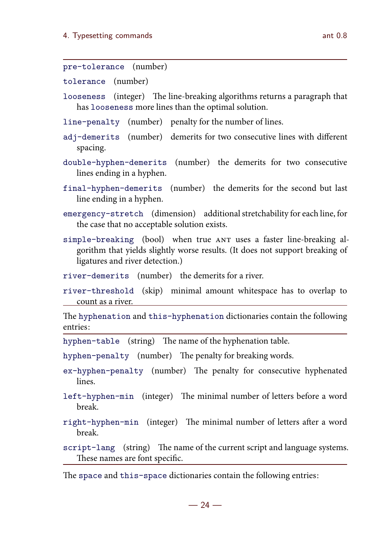tolerance (number)

- looseness (integer) The line-breaking algorithms returns a paragraph that has looseness more lines than the optimal solution.
- line-penalty (number) penalty for the number of lines.
- adj-demerits (number) demerits for two consecutive lines with different spacing.
- double-hyphen-demerits (number) the demerits for two consecutive lines ending in a hyphen.
- final-hyphen-demerits (number) the demerits for the second but last line ending in a hyphen.
- emergency-stretch (dimension) additionalstretchability for each line, for the case that no acceptable solution exists.
- simple-breaking (bool) when true ANT uses a faster line-breaking algorithm that yields slightly worse results. (It does not support breaking of ligatures and river detection.)
- river-demerits (number) the demerits for a river.
- river-threshold (skip) minimal amount whitespace has to overlap to count as a river.

The hyphenation and this-hyphenation dictionaries contain the following entries:

hyphen-table (string) The name of the hyphenation table.

hyphen-penalty (number) The penalty for breaking words.

- ex-hyphen-penalty (number) The penalty for consecutive hyphenated lines.
- left-hyphen-min (integer) The minimal number of letters before a word break.
- right-hyphen-min (integer) The minimal number of letters after a word break.

script-lang (string) The name of the current script and language systems. These names are font specific.

The space and this-space dictionaries contain the following entries: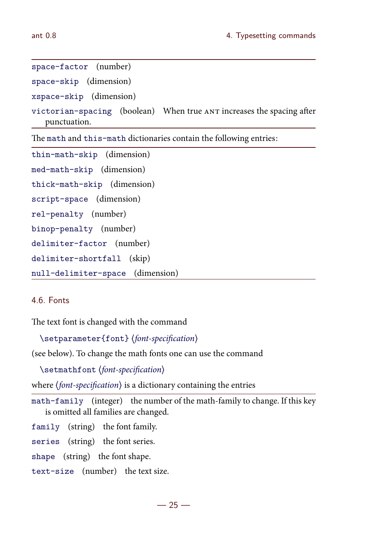```
space-factor (number)
space-skip (dimension)
xspace-skip (dimension)
victorian-spacing (boolean) When true ANT increases the spacing after
   punctuation.
```
The math and this-math dictionaries contain the following entries:

```
thin-math-skip (dimension)
med-math-skip (dimension)
thick-math-skip (dimension)
script-space (dimension)
rel-penalty (number)
binop-penalty (number)
delimiter-factor (number)
delimiter-shortfall (skip)
null-delimiter-space (dimension)
```
## 4.6. Fonts

The text font is changed with the command

```
\setparameter{font} (font-specification)
```
(see below). To change the math fonts one can use the command

 $\setminus$ setmathfont  $\{font-specification \}$ 

where  $\langle$  font-specification $\rangle$  is a dictionary containing the entries

math-family (integer) the number of the math-family to change. If this key is omitted all families are changed.

family (string) the font family.

series (string) the font series.

shape (string) the font shape.

text-size (number) the text size.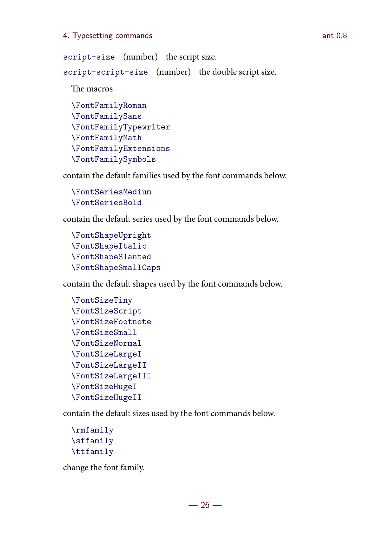#### 4. Typesetting commands and 0.8

script-size (number) the script size.

script-script-size (number) the double script size.

The macros

```
\FontFamilyRoman
\FontFamilySans
\FontFamilyTypewriter
\FontFamilyMath
\FontFamilyExtensions
\FontFamilySymbols
```
contain the default families used by the font commands below.

```
\FontSeriesMedium
\FontSeriesBold
```
contain the default series used by the font commands below.

```
\FontShapeUpright
\FontShapeItalic
\FontShapeSlanted
\FontShapeSmallCaps
```
contain the default shapes used by the font commands below.

```
\FontSizeTiny
\FontSizeScript
\FontSizeFootnote
\FontSizeSmall
\FontSizeNormal
\FontSizeLargeI
\FontSizeLargeII
\FontSizeLargeIII
\FontSizeHugeI
\FontSizeHugeII
```
contain the default sizes used by the font commands below.

```
\rmfamily
\sffamily
\ttfamily
```
change the font family.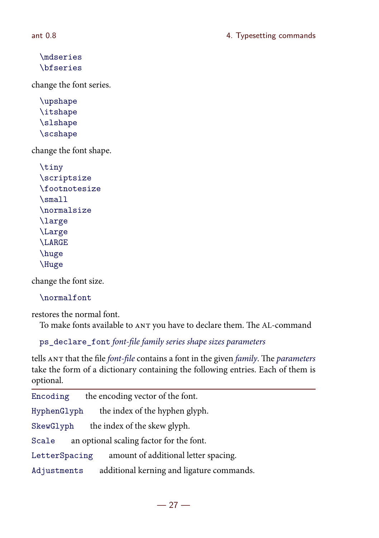```
\mdseries
\bfseries
```
change the font series.

```
\upshape
\itshape
\slshape
\scshape
```
change the font shape.

```
\tiny
\scriptsize
\footnotesize
\small
\normalsize
\large
\Large
\LARGE
\huge
\Huge
```
change the font size.

\normalfont

restores the normal font.

To make fonts available to ANT you have to declare them. The AL-command

ps\_declare\_font font-file family series shape sizes parameters

tells ANT that the file font-file contains a font in the given family. The parameters take the form of a dictionary containing the following entries. Each of them is optional.

| Encoding                                          | the encoding vector of the font.          |  |
|---------------------------------------------------|-------------------------------------------|--|
| HyphenGlyph                                       | the index of the hyphen glyph.            |  |
| SkewGlyph                                         | the index of the skew glyph.              |  |
| an optional scaling factor for the font.<br>Scale |                                           |  |
| LetterSpacing                                     | amount of additional letter spacing.      |  |
| Adjustments                                       | additional kerning and ligature commands. |  |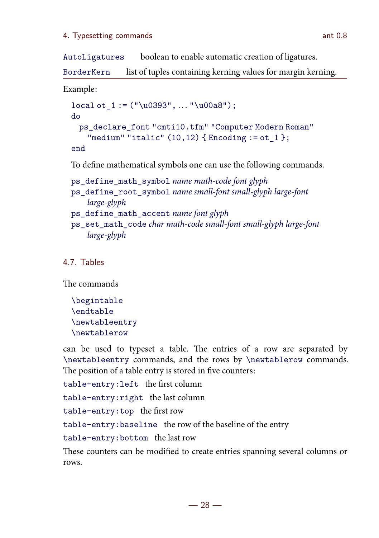#### 4. Typesetting commands ant 0.8

AutoLigatures boolean to enable automatic creation of ligatures.

BorderKern list of tuples containing kerning values for margin kerning.

Example:

```
local ot_1 := ("u0393", ... "u00a8");
do
 ps_declare_font "cmti10.tfm" "Computer Modern Roman"
   "medium" "italic" (10, 12) { Encoding := ot_1 };
end
```
To define mathematical symbols one can use the following commands.

```
ps_define_math_symbol name math-code font glyph
```

```
ps_define_root_symbol name small-font small-glyph large-font
    large-glyph
```
- ps\_define\_math\_accent name font glyph
- ps\_set\_math\_code char math-code small-font small-glyph large-font large-glyph

4.7. Tables

The commands

\begintable \endtable \newtableentry \newtablerow

can be used to typeset a table. The entries of a row are separated by \newtableentry commands, and the rows by \newtablerow commands. The position of a table entry is stored in five counters:

```
table-entry:left the first column
```
table-entry:right the last column

table-entry:top the first row

table-entry:baseline the row of the baseline of the entry

table-entry:bottom the last row

These counters can be modified to create entries spanning several columns or rows.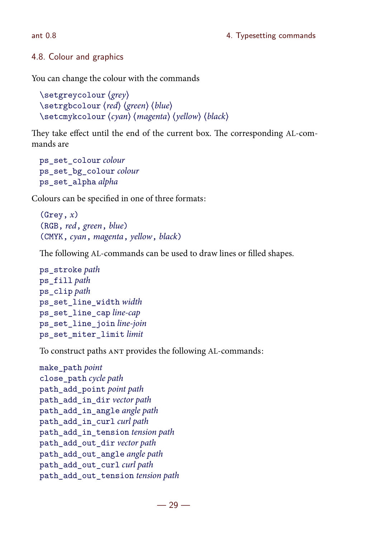## 4.8. Colour and graphics

You can change the colour with the commands

```
\setminussetgreycolour \langlegrey\rangle\setminussetrgbcolour \langle red \rangle (green) \langle blue \rangle\setminussetcmykcolour \langle cyan \rangle (magenta) \langle yellow \rangle (black)
```
They take effect until the end of the current box. The corresponding AL-commands are

```
ps_set_colour colour
ps_set_bg_colour colour
ps_set_alpha alpha
```
Colours can be specified in one of three formats:

```
(Grev, x)(RGB, red, green, blue)
(CMYK, cyan, magenta, yellow, black)
```
The following AL-commands can be used to draw lines or filled shapes.

```
ps_stroke path
ps_fill path
ps_clip path
ps set line width width
ps_set_line_cap line-cap
ps_set_line_join line-join
ps_set_miter_limit limit
```
To construct paths ANT provides the following AL-commands:

```
make path point
close_path cycle path
path_add_point point path
path_add_in_dir vector path
path_add_in_angle angle path
path_add_in_curl curl path
path_add_in_tension tension path
path_add_out_dir vector path
path_add_out_angle angle path
path_add_out_curl curl path
path_add_out_tension tension path
```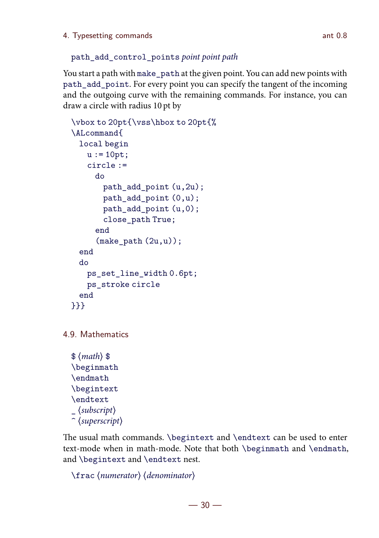```
path_add_control_points point point path
```
You start a path with make\_path at the given point. You can add new points with path add point. For every point you can specify the tangent of the incoming and the outgoing curve with the remaining commands. For instance, you can draw a circle with radius 10 pt by

```
\vbox to 20pt{\vss\hbox to 20pt{%
\ALcommand{
 local begin
   u := 10pt;circle :=
     do
       path add point (u,2u);
       path add point (0,u);
       path_add_point (u,0);
       close_path True;
     end
      (make<sub>path</sub> (2u,u);
 end
 do
   ps_set_line_width 0.6pt;
   ps_stroke circle
 end
}}}
```

```
4.9. Mathematics
```

```
\mathcal{S}(math)\beginmath
\endmath
\begintext
\endtext
\langlesubscript\rangle\hat{\ } (superscript)
```
The usual math commands. \begintext and \endtext can be used to enter text-mode when in math-mode. Note that both \beginmath and \endmath, and \begintext and \endtext nest.

```
\frac{1}{\text{frac}} (numerator) (denominator)
```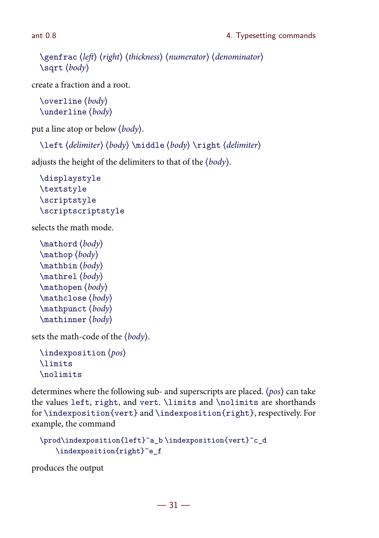```
\genfrac{\langle}{\rangle}{\text{genfrac}}{\langle}{\text{left}\rangle}{\text{theta}} (thickness) (numerator) (denominator)
\sqrt{\sqrt{b}q}
```
create a fraction and a root.

```
\overline{\text{overline}} \langle body \rangle\langle body \rangle
```
put a line atop or below  $\langle body \rangle$ .

```
\left (delimiter) (body) \middle (body) \right (delimiter)
```
adjusts the height of the delimiters to that of the  $\langle body \rangle$ .

```
\displaystyle
\textstyle
\scriptstyle
\scriptscriptstyle
```
selects the math mode.

```
\mathcal{(body)}\mathcal{b}\mathcal{b}\mathcal{b}\mathcal{b}\mathcal{b}\mathcal{b}\mathcal{b}
```
sets the math-code of the  $\langle body \rangle$ .

```
\langleindexposition \langle pos \rangle\limits
\nolimits
```
determines where the following sub- and superscripts are placed.  $\langle pos \rangle$  can take the values left, right, and vert. \limits and \nolimits are shorthands for \indexposition{vert} and \indexposition{right}, respectively. For example, the command

```
\prod\indexposition{left}^a_b \indexposition{vert}^c_d
   \indexposition{right}^e_f
```
produces the output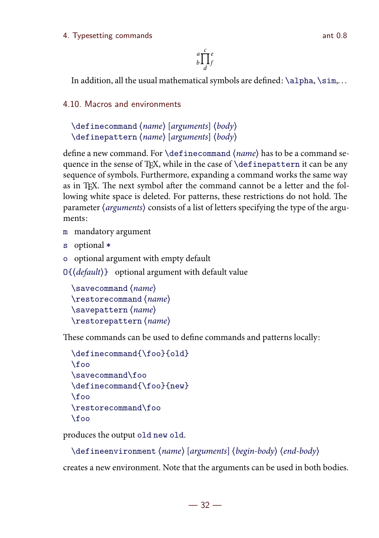#### 4. Typesetting commands ant 0.8

 $\int_{b}^{a}$ d f e

In addition, all the usual mathematical symbols are defined:  $\alpha, \sigma, \sigma$ ...

4.10. Macros and environments

```
\delta \definecommand \langle name \rangle [arguments] \langle body \rangle\definepattern (name) [arguments] (body)
```
define a new command. For  $\def\phi$  resolution and  $\langle name \rangle$  has to be a command sequence in the sense of TFX, while in the case of \definepattern it can be any sequence of symbols. Furthermore, expanding a command works the same way as in TFX. The next symbol after the command cannot be a letter and the following white space is deleted. For patterns, these restrictions do not hold. The parameter  $\langle$  arguments $\rangle$  consists of a list of letters specifying the type of the arguments:

- m mandatory argument
- s optional \*
- o optional argument with empty default

 $O\left\{\left\langle \text{default} \right\rangle\right\}$  optional argument with default value

```
\sum_{\text{sample}}\text{restorecommand}(name)\simeq \langle name \rangle\text{tens} (name)
```
These commands can be used to define commands and patterns locally:

```
\definecommand{\foo}{old}
\binom{1}{0}\savecommand\foo
\definecommand{\foo}{new}
\foo
\restorecommand\foo
\foo
```
produces the output old new old.

 $\delta$  \defineenvironment (name) [arguments] (begin-body) (end-body)

creates a new environment. Note that the arguments can be used in both bodies.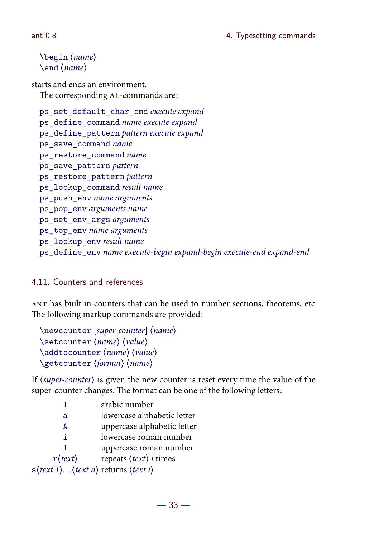#### ant 0.8 and 0.8 and 0.8 and 0.8 and 0.8 and 0.8 and 0.8 and 0.8 and 0.8 and 0.8 and 0.8 and 0.8 and 0.8 and 0.8 and 0.8 and 0.8 and 0.8 and 0.8 and 0.8 and 0.8 and 0.8 and 0.8 and 0.8 and 0.8 and 0.8 and 0.8 and 0.8 and 0.

```
\begin{pmatrix} \text{name} \end{pmatrix}\langleend \langlename\rangle
```
starts and ends an environment. The corresponding AL-commands are:

ps\_set\_default\_char\_cmd execute expand ps\_define\_command name execute expand ps\_define\_pattern pattern execute expand ps save command name ps restore command name ps save pattern pattern ps restore pattern pattern ps\_lookup\_command result name ps\_push\_env name arguments ps\_pop\_env arguments name ps\_set\_env\_args arguments ps\_top\_env name arguments ps\_lookup\_env result name ps\_define\_env name execute-begin expand-begin execute-end expand-end

### 4.11. Counters and references

 has built in counters that can be used to number sections, theorems, etc. The following markup commands are provided:

 $\text{newcounter}$  [super-counter]  $\langle name \rangle$  $\setminus$ setcounter  $\langle name \rangle$   $\langle value \rangle$  $\adtocounter (name) (value)$ \getcounter (format) (name)

If  $\langle super-counter \rangle$  is given the new counter is reset every time the value of the super-counter changes. The format can be one of the following letters:

|                                                                  | arabic number                                 |
|------------------------------------------------------------------|-----------------------------------------------|
| a                                                                | lowercase alphabetic letter                   |
| А                                                                | uppercase alphabetic letter                   |
| i.                                                               | lowercase roman number                        |
|                                                                  | uppercase roman number                        |
| $\mathbf{r}(text)$                                               | repeats $\langle text \rangle$ <i>i</i> times |
| $s$ ( <i>text 1</i> )( <i>text n</i> ) returns ( <i>text i</i> ) |                                               |
|                                                                  |                                               |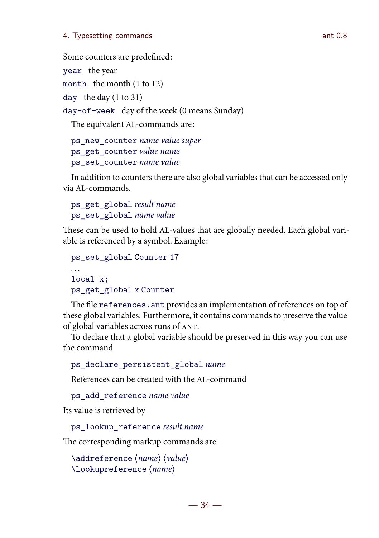#### 4. Typesetting commands ant 0.8

Some counters are predefined:

```
year the year
```

```
month the month (1 to 12)
```
day the day (1 to 31)

day-of-week day of the week (0 means Sunday)

The equivalent AL-commands are:

ps\_new\_counter name value super ps\_get\_counter value name ps\_set\_counter name value

In addition to counters there are also global variables that can be accessed only via AL-commands.

```
ps_get_global result name
ps_set_global name value
```
These can be used to hold AL-values that are globally needed. Each global variable is referenced by a symbol. Example:

```
ps_set_global Counter 17
local x;
ps_get_global x Counter
```
The file references. ant provides an implementation of references on top of these global variables. Furthermore, it contains commands to preserve the value of global variables across runs of ANT.

To declare that a global variable should be preserved in this way you can use the command

```
ps declare persistent global name
```
References can be created with the AL-command

ps add reference name value

Its value is retrieved by

ps\_lookup\_reference result name

The corresponding markup commands are

```
\adreference \langle name \rangle \langle value \rangle\lookupreference (name)
```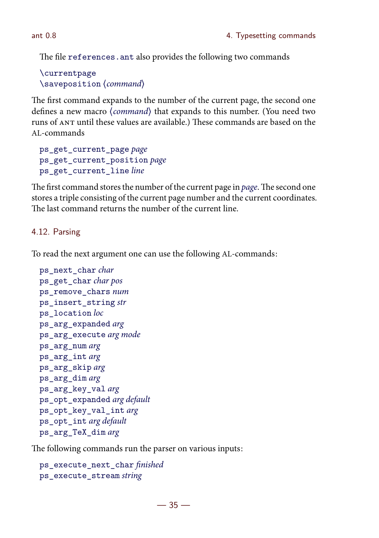The file references, ant also provides the following two commands

\currentpage  $\simeq$   $\simeq$ 

The first command expands to the number of the current page, the second one defines a new macro (command) that expands to this number. (You need two runs of ANT until these values are available.) These commands are based on the AL-commands

```
ps_get_current_page page
ps_get_current_position page
ps_get_current_line line
```
The first command stores the number of the current page in page. The second one stores a triple consisting of the current page number and the current coordinates. The last command returns the number of the current line.

# 4.12. Parsing

To read the next argument one can use the following AL-commands:

```
ps_next_char char
ps get char char pos
ps remove chars num
ps_insert_string str
ps location loc
ps_arg_expanded arg
ps_arg_execute arg mode
ps_arg_num arg
ps_arg_int arg
ps_arg_skip arg
ps_arg_dim arg
ps_arg_key_val arg
ps_opt_expanded arg default
ps_opt_key_val_int arg
ps_opt_int arg default
ps_arg_TeX_dim arg
```
The following commands run the parser on various inputs:

```
ps_execute_next_char finished
ps execute stream string
```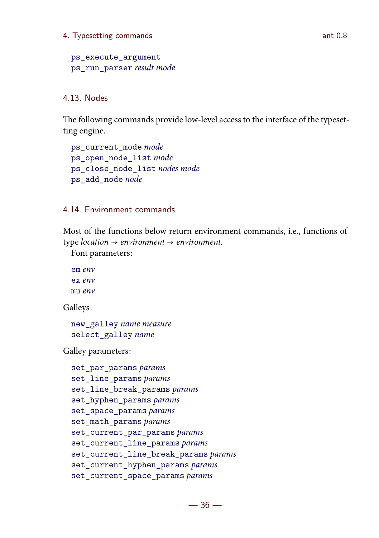#### 4. Typesetting commands and 0.8

ps execute argument ps run parser result mode

#### 4.13. Nodes

The following commands provide low-level access to the interface of the typesetting engine.

```
ps current mode mode
ps open node list mode
ps_close_node_list nodes mode
ps_add_node node
```
#### 4.14. Environment commands

Most of the functions below return environment commands, i.e., functions of type location  $\rightarrow$  environment  $\rightarrow$  environment.

Font parameters:

em env ex env mu env

Galleys:

new\_galley name measure select\_galley name

Galley parameters:

```
set par params params
set line params params
set_line_break_params params
set_hyphen_params params
set_space_params params
set_math_params params
set_current_par_params params
set_current_line_params params
set_current_line_break_params params
set_current_hyphen_params params
set_current_space_params params
```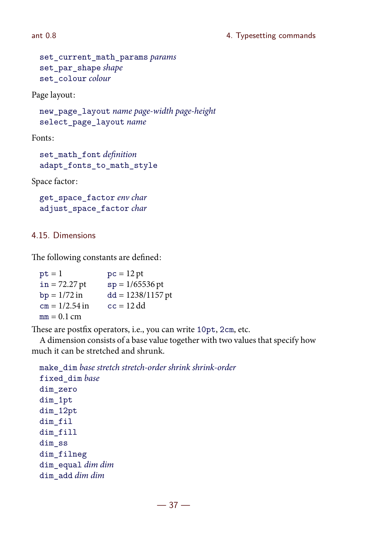```
set_current_math_params params
set_par_shape shape
set colour colour
```
Page layout:

new\_page\_layout name page-width page-height select\_page\_layout name

Fonts:

set\_math\_font definition adapt\_fonts\_to\_math\_style

Space factor:

get\_space\_factor env char adjust\_space\_factor char

#### 4.15. Dimensions

The following constants are defined:

| $pt = 1$         | $pc = 12 pt$        |
|------------------|---------------------|
| $in = 72.27$ pt  | $sp = 1/65536$ pt   |
| $bp = 1/72 in$   | $dd = 1238/1157$ pt |
| $cm = 1/2.54$ in | $cc = 12$ dd        |
| $mm = 0.1$ cm    |                     |

These are postfix operators, i.e., you can write 10pt, 2cm, etc.

A dimension consists of a base value together with two values that specify how much it can be stretched and shrunk.

```
make dim base stretch stretch-order shrink shrink-order
fixed dim base
dim_zero
dim_1pt
dim_12pt
dim_fil
dim_fill
dim_ss
dim_filneg
dim_equal dim dim
dim_add dim dim
```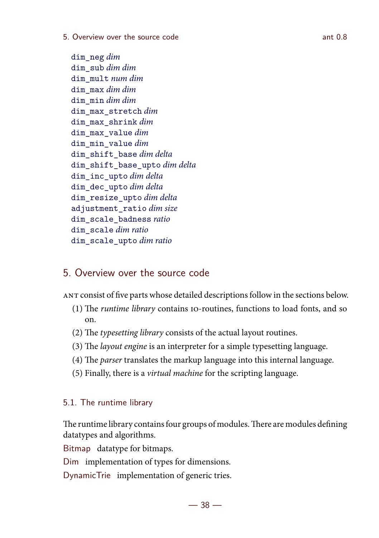#### 5. Overview over the source code ant 0.8

dim\_neg dim dim\_sub dim dim dim\_mult num dim dim\_max dim dim dim\_min dim dim dim max stretch dim dim max shrink dim dim max value dim dim min value dim dim\_shift\_base dim delta dim\_shift\_base\_upto dim delta dim\_inc\_upto dim delta dim\_dec\_upto dim delta dim\_resize\_upto dim delta adjustment ratio dim size dim scale badness ratio dim\_scale dim ratio dim scale upto dim ratio

# 5. Overview over the source code

consist of five parts whose detailed descriptionsfollow in the sections below.

- (1) The runtime library contains 10-routines, functions to load fonts, and so on.
- (2) The typesetting library consists of the actual layout routines.
- (3) The layout engine is an interpreter for a simple typesetting language.
- (4) The *parser* translates the markup language into this internal language.
- (5) Finally, there is a virtual machine for the scripting language.

#### 5.1. The runtime library

The runtime library contains four groups of modules. There are modules defining datatypes and algorithms.

Bitmap datatype for bitmaps.

Dim implementation of types for dimensions.

DynamicTrie implementation of generic tries.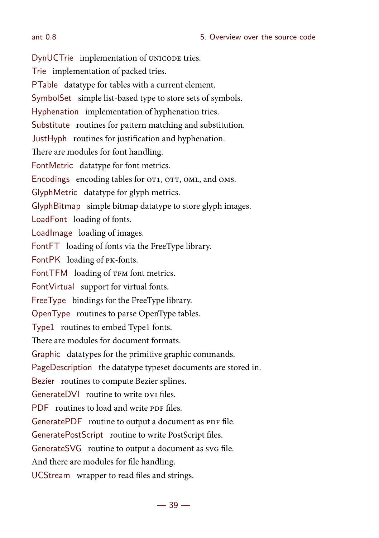#### ant 0.8 5. Overview over the source code

DynUCTrie implementation of UNICODE tries. Trie implementation of packed tries. PTable datatype for tables with a current element. SymbolSet simple list-based type to store sets of symbols. Hyphenation implementation of hyphenation tries. Substitute routines for pattern matching and substitution. JustHyph routines for justification and hyphenation. There are modules for font handling. FontMetric datatype for font metrics. Encodings encoding tables for OT1, OTT, OML, and OMS. GlyphMetric datatype for glyph metrics. GlyphBitmap simple bitmap datatype to store glyph images. LoadFont loading of fonts. LoadImage loading of images. FontFT loading of fonts via the FreeType library. FontPK loading of PK-fonts. FontTFM loading of TFM font metrics. FontVirtual support for virtual fonts. FreeType bindings for the FreeType library. OpenType routines to parse OpenType tables. Type1 routines to embed Type1 fonts. There are modules for document formats. Graphic datatypes for the primitive graphic commands. PageDescription the datatype typeset documents are stored in. Bezier routines to compute Bezier splines. GenerateDVI routine to write pyr files. PDF routines to load and write PDF files. GeneratePDF routine to output a document as PDF file. GeneratePostScript routine to write PostScript files. GenerateSVG routine to output a document as svG file. And there are modules for file handling. UCStream wrapper to read files and strings.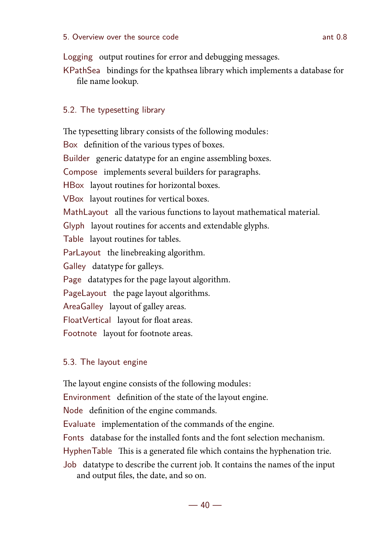Logging output routines for error and debugging messages.

KPathSea bindings for the kpathsea library which implements a database for file name lookup.

## 5.2. The typesetting library

The typesetting library consists of the following modules: Box definition of the various types of boxes. Builder generic datatype for an engine assembling boxes. Compose implements several builders for paragraphs. HBox layout routines for horizontal boxes. VBox layout routines for vertical boxes. MathLayout all the various functions to layout mathematical material. Glyph layout routines for accents and extendable glyphs. Table layout routines for tables. ParLayout the linebreaking algorithm. Galley datatype for galleys. Page datatypes for the page layout algorithm. PageLayout the page layout algorithms. AreaGalley layout of galley areas. FloatVertical layout for float areas. Footnote layout for footnote areas.

## 5.3. The layout engine

The layout engine consists of the following modules: Environment definition of the state of the layout engine. Node definition of the engine commands. Evaluate implementation of the commands of the engine. Fonts database for the installed fonts and the font selection mechanism. HyphenTable This is a generated file which contains the hyphenation trie. Job datatype to describe the current job. It contains the names of the input and output files, the date, and so on.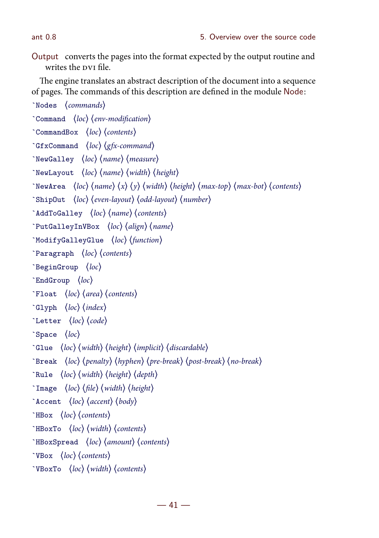Output converts the pages into the format expected by the output routine and writes the pyt file.

The engine translates an abstract description of the document into a sequence of pages. The commands of this description are defined in the module Node:

```
`Nodes (commands)
`Command \langle loc \rangle \langle env\text{-}modification \rangle\text{CommandBox} \langle \text{loc} \rangle \langle \text{contents} \rangle`GfxCommand \langle loc \rangle \langle gfx-command)
\text{NewGalley} \langle loc \rangle \langle name \rangle \langle measure \rangle`NewLayout \langle loc \rangle \langle name \rangle \langle width \rangle \langle height \rangle`NewArea \langle loc \rangle \langle name \rangle \langle x \rangle \langle y \rangle \langle width \rangle \langle height \rangle \langle max-top \rangle \langle max-bot \rangle \langle contents \rangle\text{ShipOut} \quad \text{loc} \text{ (even-layer) (odd-layer) (number)}\hat{\ }AddToGalley \langle loc \rangle \langle name \rangle \langle contents \rangle`PutGalleyInVBox \langle loc \rangle \langle align \rangle \langle name \rangle`ModifyGalleyGlue \langle loc \rangle \langle function \rangle`Paragraph \langle loc \rangle \langle contents \rangle\text{`BeginGroup} \langle loc \rangle\text{EndGroup} \quad \langle loc \rangle\text{Float} \langle loc \rangle \langle area \rangle \langle contents \rangle\text{Glyph} (loc) (index)
\text{`Letter } (loc) (code)\rhoSpace \langle loc \rangle\text{`Glue } \langle loc \rangle \langle width \rangle \langle height \rangle \langle implicit \rangle \langle discardedble \rangle\text{`Break } \langle loc \rangle (penalty) \langle hyperbreak \rangle (pre-break) \langle post\text{-break} \rangle\text{Rule} \langle \text{loc} \rangle \langle \text{width} \rangle \langle \text{height} \rangle \langle \text{depth} \rangle`Image \langle loc \rangle (file) \langle width \rangle (height)
\text{{}^\text{-}}Accent \text{{}^\text{}} \text{{}^\text{}} \text{{}^\text{}} \text{{}^\text{}} \text{{}^\text{}} \text{{}^\text{}} \text{{}^\text{}} \text{{}^\text{}} \text{{}^\text{}} \text{{}^\text{}} \text{{}^\text{}} \text{{}^\text{}} \text{{}^\text{}} \text{{}^\text{}} \text{{}^\text{}} \text{{}^\text{}} \text{{}^\text{}} \text{{}^\text{}} \text{{}^\HBox (loc) (contents)
HBoxTo \ (loc) \ (width) \ (contents)HBoxSpread \ (loc) \ (amount) \ (contents)\text{VBox} \langle loc \rangle (contents)
\text{VBoxTo} \langle loc \rangle \langle width \rangle \langle contents \rangle
```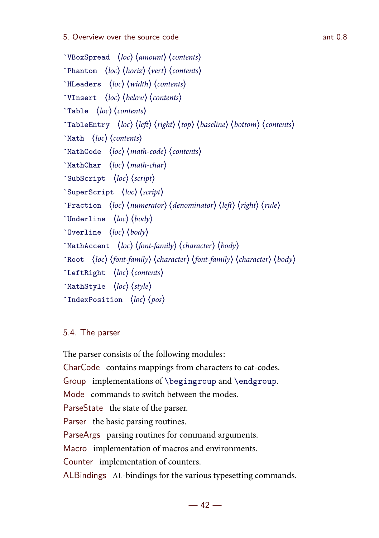```
\text{VBoxSpread} (loc) (amount) (contents)
\text{Phantom} (loc) (horiz) (vert) (contents)
'HLeaders \ (loc) \ (width) \ (contents)`VInsert \langle loc \rangle \langle below \rangle \langle contents \rangle\text{Table} \quad \langle \text{loc} \rangle \langle \text{contents} \rangle`TableEntry \langle loc \rangle \langle left \rangle \langle right \rangle \langle top \rangle \langle baseline \rangle \langle bottom \rangle \langle contents \rangle\text{YMath} \langle loc \rangle (contents)
\text{YMathCode} \langle loc \rangle \langle matchcode \rangle \langle contents \rangle`MathChar \langle loc \rangle \langle mathchar \rangle`SubScript \langle loc \rangle \langle script \rangle`SuperScript \langle loc \rangle \langle script \rangle\text{``Fraction (loc) (numerator) (denominator) (left) (right) (rule)\text{`Underline} \langle loc \rangle \langle body \rangle\text{V}Overline \langle \text{loc} \rangle \langle \text{body} \rangle`MathAccent \langle loc \rangle (font-family) \langle character \rangle \langle body \rangle\text{Root} (loc) (font-family) (character) (font-family) (character) (body)
\text{LeftRight} \langle loc \rangle (contents)
'MathStyle \ (loc) \ (style)'IndexPosition \ (loc) \ (pos)
```
## 5.4. The parser

The parser consists of the following modules: CharCode contains mappings from characters to cat-codes. Group implementations of \begingroup and \endgroup. Mode commands to switch between the modes. ParseState the state of the parser. Parser the basic parsing routines. ParseArgs parsing routines for command arguments. Macro implementation of macros and environments. Counter implementation of counters. ALBindings AL-bindings for the various typesetting commands.